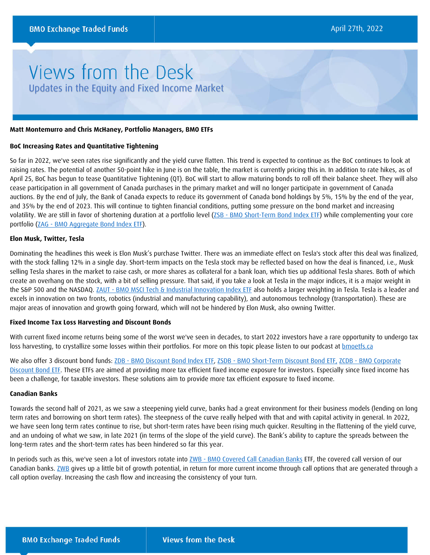# Views from the Desk Updates in the Equity and Fixed Income Market

#### **Matt Montemurro and Chris McHaney, Portfolio Managers, BMO ETFs**

#### **BoC Increasing Rates and Quantitative Tightening**

So far in 2022, we've seen rates rise significantly and the yield curve flatten. This trend is expected to continue as the BoC continues to look at raising rates. The potential of another 50-point hike in June is on the table, the market is currently pricing this in. In addition to rate hikes, as of April 25, BoC has begun to tease Quantitative Tightening (QT). BoC will start to allow maturing bonds to roll off their balance sheet. They will also cease participation in all government of Canada purchases in the primary market and will no longer participate in government of Canada auctions. By the end of July, the Bank of Canada expects to reduce its government of Canada bond holdings by 5%, 15% by the end of the year, and 35% by the end of 2023. This will continue to tighten financial conditions, putting some pressure on the bond market and increasing volatility. We are still in favor of shortening duration at a portfolio level (*ZSB - BMO Short-Term Bond Index ETF*) while complementing your core portfolio (ZAG - [BMO Aggregate Bond Index ETF\)](https://www.bmo.com/gam/ca/advisor/products/etfs?fundUrl=/fundProfile/ZAG#fundUrl=%2FfundProfile%2FZAG).

#### **Elon Musk, Twitter, Tesla**

Dominating the headlines this week is Elon Musk's purchase Twitter. There was an immediate effect on Tesla's stock after this deal was finalized, with the stock falling 12% in a single day. Short-term impacts on the Tesla stock may be reflected based on how the deal is financed, i.e., Musk selling Tesla shares in the market to raise cash, or more shares as collateral for a bank loan, which ties up additional Tesla shares. Both of which create an overhang on the stock, with a bit of selling pressure. That said, if you take a look at Tesla in the major indices, it is a major weight in the S&P 500 and the NASDAQ. ZAUT - [BMO MSCI Tech & Industrial Innovation Index ETF](https://www.bmo.com/gam/ca/advisor/products/etfs?fundUrl=/fundProfile/ZAUT#fundUrl=%2FfundProfile%2FZAUT) also holds a larger weighting in Tesla. Tesla is a leader and excels in innovation on two fronts, robotics (industrial and manufacturing capability), and autonomous technology (transportation). These are major areas of innovation and growth going forward, which will not be hindered by Elon Musk, also owning Twitter.

### **Fixed Income Tax Loss Harvesting and Discount Bonds**

With current fixed income returns being some of the worst we've seen in decades, to start 2022 investors have a rare opportunity to undergo tax loss harvesting, to crystallize some losses within their portfolios. For more on this topic please listen to our podcast at bmoetfs.ca

We also offer 3 discount bond funds: ZDB - [BMO Discount Bond Index ETF,](https://www.bmo.com/gam/ca/advisor/products/etfs?fundUrl=/fundProfile/ZDB#fundUrl=%2FfundProfile%2FZDB) ZSDB - [BMO Short-Term Discount Bond ETF,](https://www.bmo.com/gam/ca/advisor/products/etfs?fundUrl=/fundProfile/ZSDB#fundUrl=%2FfundProfile%2FZSDB) ZCDB - BMO Corporate [Discount Bond ETF.](https://www.bmo.com/gam/ca/advisor/products/etfs?fundUrl=/fundProfile/ZCDB#fundUrl=%2FfundProfile%2FZCDB) These ETFs are aimed at providing more tax efficient fixed income exposure for investors. Especially since fixed income has been a challenge, for taxable investors. These solutions aim to provide more tax efficient exposure to fixed income.

#### **Canadian Banks**

Towards the second half of 2021, as we saw a steepening yield curve, banks had a great environment for their business models (lending on long term rates and borrowing on short term rates). The steepness of the curve really helped with that and with capital activity in general. In 2022, we have seen long term rates continue to rise, but short-term rates have been rising much quicker. Resulting in the flattening of the yield curve, and an undoing of what we saw, in late 2021 (in terms of the slope of the yield curve). The Bank's ability to capture the spreads between the long-term rates and the short-term rates has been hindered so far this year.

In periods such as this, we've seen a lot of investors rotate into ZWB - [BMO Covered Call Canadian Banks](https://www.bmo.com/gam/ca/advisor/products/etfs?fundUrl=/fundProfile/ZWB#fundUrl=%2FfundProfile%2FZWB) ETF, the covered call version of our Canadian banks. [ZWB](https://www.bmo.com/gam/ca/advisor/products/etfs?fundUrl=/fundProfile/ZWB#fundUrl=%2FfundProfile%2FZWB) gives up a little bit of growth potential, in return for more current income through call options that are generated through a call option overlay. Increasing the cash flow and increasing the consistency of your turn.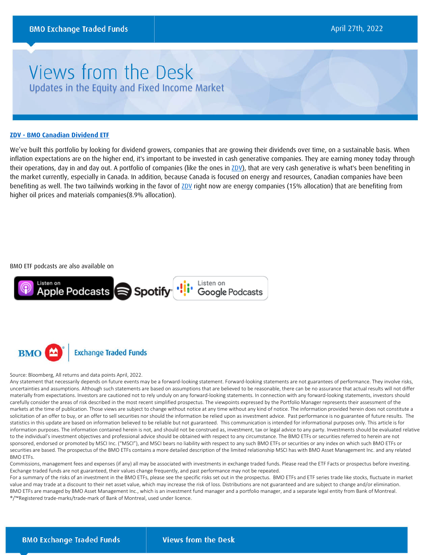## Views from the Desk Updates in the Equity and Fixed Income Market

#### **ZDV - [BMO Canadian Dividend ETF](https://www.bmo.com/gam/ca/advisor/products/etfs?fundUrl=/fundProfile/ZDV#fundUrl=%2FfundProfile%2FZDV)**

We've built this portfolio by looking for dividend growers, companies that are growing their dividends over time, on a sustainable basis. When inflation expectations are on the higher end, it's important to be invested in cash generative companies. They are earning money today through their operations, day in and day out. A portfolio of companies (like the ones in [ZDV\)](https://www.bmo.com/gam/ca/advisor/products/etfs?fundUrl=/fundProfile/ZDV#fundUrl=%2FfundProfile%2FZDV), that are very cash generative is what's been benefiting in the market currently, especially in Canada. In addition, because Canada is focused on energy and resources, Canadian companies have been benefiting as well. The two tailwinds working in the favor o[f ZDV](https://www.bmo.com/gam/ca/advisor/products/etfs?fundUrl=/fundProfile/ZDV#fundUrl=%2FfundProfile%2FZDV) right now are energy companies (15% allocation) that are benefiting from higher oil prices and materials companies(8.9% allocation).

#### BMO ETF podcasts are also available on



**BMO Exchange Traded Funds** 

#### Source: Bloomberg, All returns and data points April, 2022.

Any statement that necessarily depends on future events may be a forward-looking statement. Forward-looking statements are not guarantees of performance. They involve risks, uncertainties and assumptions. Although such statements are based on assumptions that are believed to be reasonable, there can be no assurance that actual results will not differ materially from expectations. Investors are cautioned not to rely unduly on any forward-looking statements. In connection with any forward-looking statements, investors should carefully consider the areas of risk described in the most recent simplified prospectus. The viewpoints expressed by the Portfolio Manager represents their assessment of the markets at the time of publication. Those views are subject to change without notice at any time without any kind of notice. The information provided herein does not constitute a solicitation of an offer to buy, or an offer to sell securities nor should the information be relied upon as investment advice. Past performance is no guarantee of future results. The statistics in this update are based on information believed to be reliable but not guaranteed. This communication is intended for informational purposes only. This article is for information purposes. The information contained herein is not, and should not be construed as, investment, tax or legal advice to any party. Investments should be evaluated relative to the individual's investment objectives and professional advice should be obtained with respect to any circumstance. The BMO ETFs or securities referred to herein are not sponsored, endorsed or promoted by MSCI Inc. ("MSCI"), and MSCI bears no liability with respect to any such BMO ETFs or securities or any index on which such BMO ETFs or securities are based. The prospectus of the BMO ETFs contains a more detailed description of the limited relationship MSCI has with BMO Asset Management Inc. and any related BMO ETFs.

Commissions, management fees and expenses (if any) all may be associated with investments in exchange traded funds. Please read the ETF Facts or prospectus before investing. Exchange traded funds are not guaranteed, their values change frequently, and past performance may not be repeated.

For a summary of the risks of an investment in the BMO ETFs, please see the specific risks set out in the prospectus. BMO ETFs and ETF series trade like stocks, fluctuate in market value and may trade at a discount to their net asset value, which may increase the risk of loss. Distributions are not guaranteed and are subject to change and/or elimination. BMO ETFs are managed by BMO Asset Management Inc., which is an investment fund manager and a portfolio manager, and a separate legal entity from Bank of Montreal. ®/™Registered trade-marks/trade-mark of Bank of Montreal, used under licence.